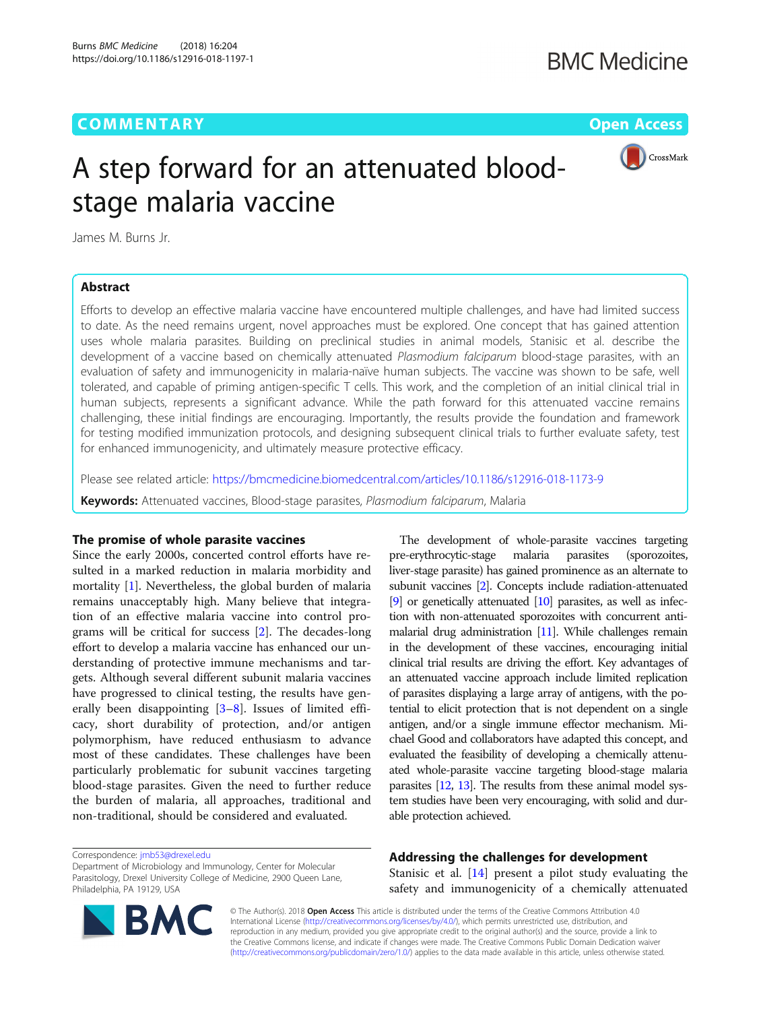# **COMMENTARY** COMMENTARY **COMMENTARY**



# A step forward for an attenuated bloodstage malaria vaccine

James M. Burns Jr.

## Abstract

Efforts to develop an effective malaria vaccine have encountered multiple challenges, and have had limited success to date. As the need remains urgent, novel approaches must be explored. One concept that has gained attention uses whole malaria parasites. Building on preclinical studies in animal models, Stanisic et al. describe the development of a vaccine based on chemically attenuated Plasmodium falciparum blood-stage parasites, with an evaluation of safety and immunogenicity in malaria-naïve human subjects. The vaccine was shown to be safe, well tolerated, and capable of priming antigen-specific T cells. This work, and the completion of an initial clinical trial in human subjects, represents a significant advance. While the path forward for this attenuated vaccine remains challenging, these initial findings are encouraging. Importantly, the results provide the foundation and framework for testing modified immunization protocols, and designing subsequent clinical trials to further evaluate safety, test for enhanced immunogenicity, and ultimately measure protective efficacy.

Please see related article: <https://bmcmedicine.biomedcentral.com/articles/10.1186/s12916-018-1173-9>

Keywords: Attenuated vaccines, Blood-stage parasites, Plasmodium falciparum, Malaria

## The promise of whole parasite vaccines

Since the early 2000s, concerted control efforts have resulted in a marked reduction in malaria morbidity and mortality [[1](#page-2-0)]. Nevertheless, the global burden of malaria remains unacceptably high. Many believe that integration of an effective malaria vaccine into control programs will be critical for success [[2](#page-2-0)]. The decades-long effort to develop a malaria vaccine has enhanced our understanding of protective immune mechanisms and targets. Although several different subunit malaria vaccines have progressed to clinical testing, the results have generally been disappointing [[3](#page-2-0)–[8\]](#page-2-0). Issues of limited efficacy, short durability of protection, and/or antigen polymorphism, have reduced enthusiasm to advance most of these candidates. These challenges have been particularly problematic for subunit vaccines targeting blood-stage parasites. Given the need to further reduce the burden of malaria, all approaches, traditional and non-traditional, should be considered and evaluated.

Correspondence: [jmb53@drexel.edu](mailto:jmb53@drexel.edu)

**BMC** 

Department of Microbiology and Immunology, Center for Molecular Parasitology, Drexel University College of Medicine, 2900 Queen Lane, Philadelphia, PA 19129, USA



## Addressing the challenges for development

Stanisic et al. [\[14](#page-2-0)] present a pilot study evaluating the safety and immunogenicity of a chemically attenuated

© The Author(s). 2018 Open Access This article is distributed under the terms of the Creative Commons Attribution 4.0 International License [\(http://creativecommons.org/licenses/by/4.0/](http://creativecommons.org/licenses/by/4.0/)), which permits unrestricted use, distribution, and reproduction in any medium, provided you give appropriate credit to the original author(s) and the source, provide a link to the Creative Commons license, and indicate if changes were made. The Creative Commons Public Domain Dedication waiver [\(http://creativecommons.org/publicdomain/zero/1.0/](http://creativecommons.org/publicdomain/zero/1.0/)) applies to the data made available in this article, unless otherwise stated.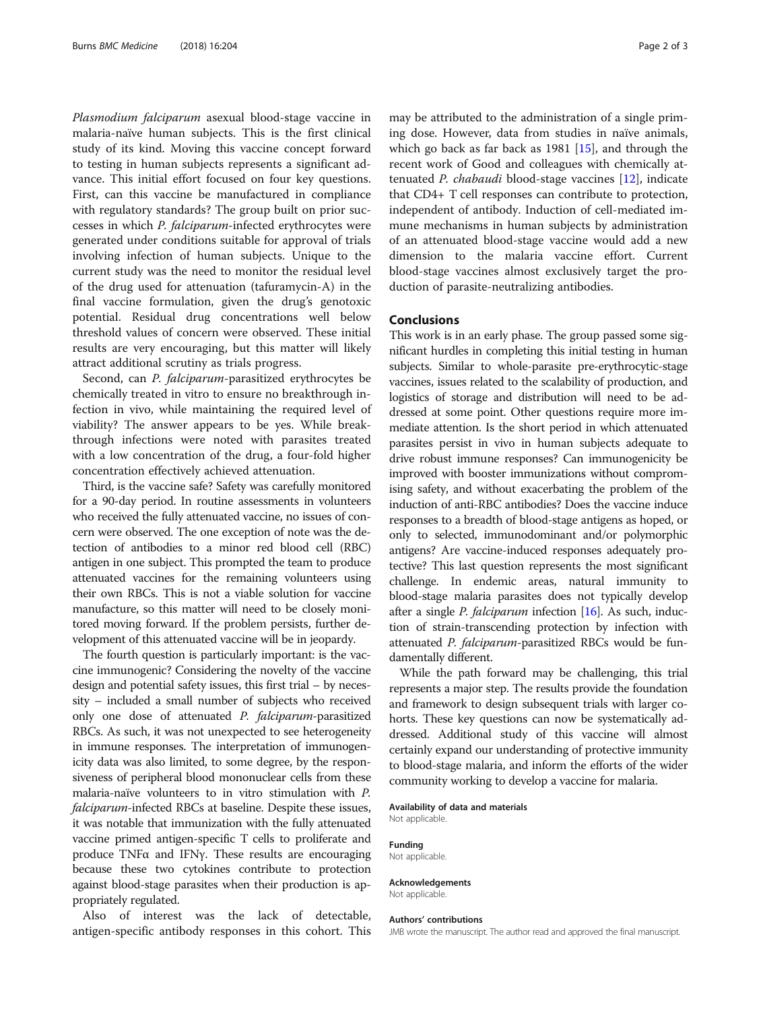Plasmodium falciparum asexual blood-stage vaccine in malaria-naïve human subjects. This is the first clinical study of its kind. Moving this vaccine concept forward to testing in human subjects represents a significant advance. This initial effort focused on four key questions. First, can this vaccine be manufactured in compliance with regulatory standards? The group built on prior successes in which P. falciparum-infected erythrocytes were generated under conditions suitable for approval of trials involving infection of human subjects. Unique to the current study was the need to monitor the residual level of the drug used for attenuation (tafuramycin-A) in the final vaccine formulation, given the drug's genotoxic potential. Residual drug concentrations well below threshold values of concern were observed. These initial results are very encouraging, but this matter will likely attract additional scrutiny as trials progress.

Second, can P. falciparum-parasitized erythrocytes be chemically treated in vitro to ensure no breakthrough infection in vivo, while maintaining the required level of viability? The answer appears to be yes. While breakthrough infections were noted with parasites treated with a low concentration of the drug, a four-fold higher concentration effectively achieved attenuation.

Third, is the vaccine safe? Safety was carefully monitored for a 90-day period. In routine assessments in volunteers who received the fully attenuated vaccine, no issues of concern were observed. The one exception of note was the detection of antibodies to a minor red blood cell (RBC) antigen in one subject. This prompted the team to produce attenuated vaccines for the remaining volunteers using their own RBCs. This is not a viable solution for vaccine manufacture, so this matter will need to be closely monitored moving forward. If the problem persists, further development of this attenuated vaccine will be in jeopardy.

The fourth question is particularly important: is the vaccine immunogenic? Considering the novelty of the vaccine design and potential safety issues, this first trial – by necessity – included a small number of subjects who received only one dose of attenuated P. falciparum-parasitized RBCs. As such, it was not unexpected to see heterogeneity in immune responses. The interpretation of immunogenicity data was also limited, to some degree, by the responsiveness of peripheral blood mononuclear cells from these malaria-naïve volunteers to in vitro stimulation with P. falciparum-infected RBCs at baseline. Despite these issues, it was notable that immunization with the fully attenuated vaccine primed antigen-specific T cells to proliferate and produce TNFα and IFNγ. These results are encouraging because these two cytokines contribute to protection against blood-stage parasites when their production is appropriately regulated.

Also of interest was the lack of detectable, antigen-specific antibody responses in this cohort. This

may be attributed to the administration of a single priming dose. However, data from studies in naïve animals, which go back as far back as 1981 [\[15\]](#page-2-0), and through the recent work of Good and colleagues with chemically at-tenuated P. chabaudi blood-stage vaccines [[12\]](#page-2-0), indicate that CD4+ T cell responses can contribute to protection, independent of antibody. Induction of cell-mediated immune mechanisms in human subjects by administration of an attenuated blood-stage vaccine would add a new dimension to the malaria vaccine effort. Current blood-stage vaccines almost exclusively target the production of parasite-neutralizing antibodies.

## Conclusions

This work is in an early phase. The group passed some significant hurdles in completing this initial testing in human subjects. Similar to whole-parasite pre-erythrocytic-stage vaccines, issues related to the scalability of production, and logistics of storage and distribution will need to be addressed at some point. Other questions require more immediate attention. Is the short period in which attenuated parasites persist in vivo in human subjects adequate to drive robust immune responses? Can immunogenicity be improved with booster immunizations without compromising safety, and without exacerbating the problem of the induction of anti-RBC antibodies? Does the vaccine induce responses to a breadth of blood-stage antigens as hoped, or only to selected, immunodominant and/or polymorphic antigens? Are vaccine-induced responses adequately protective? This last question represents the most significant challenge. In endemic areas, natural immunity to blood-stage malaria parasites does not typically develop after a single *P. falciparum* infection [[16](#page-2-0)]. As such, induction of strain-transcending protection by infection with attenuated P. falciparum-parasitized RBCs would be fundamentally different.

While the path forward may be challenging, this trial represents a major step. The results provide the foundation and framework to design subsequent trials with larger cohorts. These key questions can now be systematically addressed. Additional study of this vaccine will almost certainly expand our understanding of protective immunity to blood-stage malaria, and inform the efforts of the wider community working to develop a vaccine for malaria.

## Availability of data and materials

Not applicable.

Funding Not applicable.

#### Acknowledgements

Not applicable.

## Authors' contributions

JMB wrote the manuscript. The author read and approved the final manuscript.